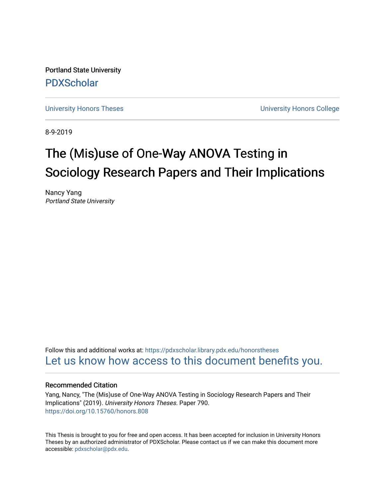Portland State University [PDXScholar](https://pdxscholar.library.pdx.edu/)

[University Honors Theses](https://pdxscholar.library.pdx.edu/honorstheses) **University Honors College** 

8-9-2019

# The (Mis)use of One-Way ANOVA Testing in Sociology Research Papers and Their Implications

Nancy Yang Portland State University

Follow this and additional works at: [https://pdxscholar.library.pdx.edu/honorstheses](https://pdxscholar.library.pdx.edu/honorstheses?utm_source=pdxscholar.library.pdx.edu%2Fhonorstheses%2F790&utm_medium=PDF&utm_campaign=PDFCoverPages)  [Let us know how access to this document benefits you.](http://library.pdx.edu/services/pdxscholar-services/pdxscholar-feedback/) 

#### Recommended Citation

Yang, Nancy, "The (Mis)use of One-Way ANOVA Testing in Sociology Research Papers and Their Implications" (2019). University Honors Theses. Paper 790. <https://doi.org/10.15760/honors.808>

This Thesis is brought to you for free and open access. It has been accepted for inclusion in University Honors Theses by an authorized administrator of PDXScholar. Please contact us if we can make this document more accessible: [pdxscholar@pdx.edu.](mailto:pdxscholar@pdx.edu)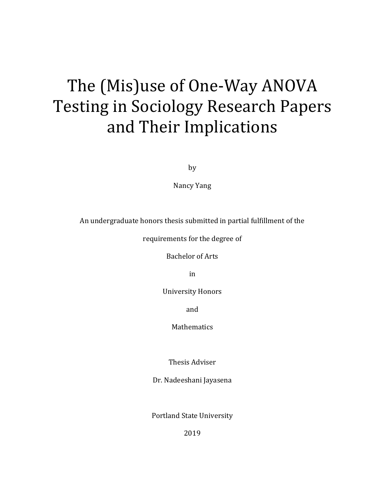# The (Mis)use of One-Way ANOVA Testing in Sociology Research Papers and Their Implications

by

Nancy Yang

An undergraduate honors thesis submitted in partial fulfillment of the

requirements for the degree of

Bachelor of Arts

in

University Honors

and

Mathematics

Thesis Adviser

Dr. Nadeeshani Jayasena

Portland State University

2019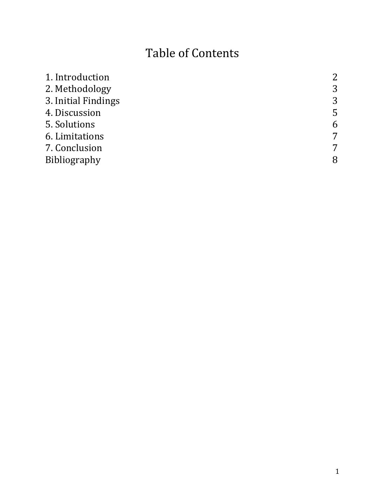# Table of Contents

| 1. Introduction     | 2 |
|---------------------|---|
| 2. Methodology      | 3 |
| 3. Initial Findings | 3 |
| 4. Discussion       | 5 |
| 5. Solutions        | 6 |
| 6. Limitations      | 7 |
| 7. Conclusion       | 7 |
| Bibliography        | 8 |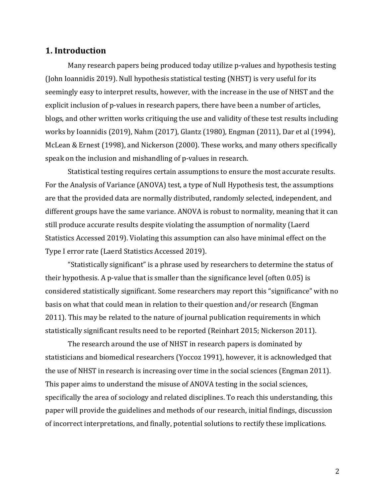#### **1. Introduction**

Many research papers being produced today utilize p-values and hypothesis testing (John Ioannidis 2019). Null hypothesis statistical testing (NHST) is very useful for its seemingly easy to interpret results, however, with the increase in the use of NHST and the explicit inclusion of p-values in research papers, there have been a number of articles, blogs, and other written works critiquing the use and validity of these test results including works by Ioannidis (2019), Nahm (2017), Glantz (1980), Engman (2011), Dar et al (1994), McLean & Ernest (1998), and Nickerson (2000). These works, and many others specifically speak on the inclusion and mishandling of p-values in research.

Statistical testing requires certain assumptions to ensure the most accurate results. For the Analysis of Variance (ANOVA) test, a type of Null Hypothesis test, the assumptions are that the provided data are normally distributed, randomly selected, independent, and different groups have the same variance. ANOVA is robust to normality, meaning that it can still produce accurate results despite violating the assumption of normality (Laerd Statistics Accessed 2019). Violating this assumption can also have minimal effect on the Type I error rate (Laerd Statistics Accessed 2019).

"Statistically significant" is a phrase used by researchers to determine the status of their hypothesis. A p-value that is smaller than the significance level (often 0.05) is considered statistically significant. Some researchers may report this "significance" with no basis on what that could mean in relation to their question and/or research (Engman 2011). This may be related to the nature of journal publication requirements in which statistically significant results need to be reported (Reinhart 2015; Nickerson 2011).

The research around the use of NHST in research papers is dominated by statisticians and biomedical researchers (Yoccoz 1991), however, it is acknowledged that the use of NHST in research is increasing over time in the social sciences (Engman 2011). This paper aims to understand the misuse of ANOVA testing in the social sciences, specifically the area of sociology and related disciplines. To reach this understanding, this paper will provide the guidelines and methods of our research, initial findings, discussion of incorrect interpretations, and finally, potential solutions to rectify these implications.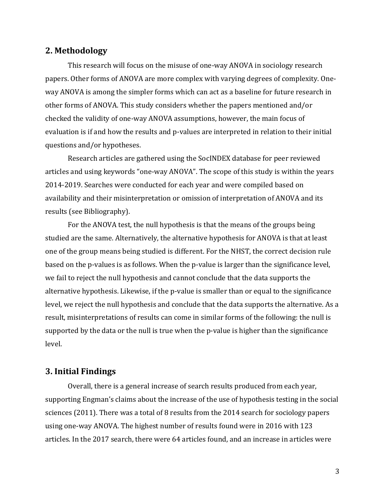## **2. Methodology**

This research will focus on the misuse of one-way ANOVA in sociology research papers. Other forms of ANOVA are more complex with varying degrees of complexity. Oneway ANOVA is among the simpler forms which can act as a baseline for future research in other forms of ANOVA. This study considers whether the papers mentioned and/or checked the validity of one-way ANOVA assumptions, however, the main focus of evaluation is if and how the results and p-values are interpreted in relation to their initial questions and/or hypotheses.

Research articles are gathered using the SocINDEX database for peer reviewed articles and using keywords "one-way ANOVA". The scope of this study is within the years 2014-2019. Searches were conducted for each year and were compiled based on availability and their misinterpretation or omission of interpretation of ANOVA and its results (see Bibliography).

For the ANOVA test, the null hypothesis is that the means of the groups being studied are the same. Alternatively, the alternative hypothesis for ANOVA is that at least one of the group means being studied is different. For the NHST, the correct decision rule based on the p-values is as follows. When the p-value is larger than the significance level, we fail to reject the null hypothesis and cannot conclude that the data supports the alternative hypothesis. Likewise, if the p-value is smaller than or equal to the significance level, we reject the null hypothesis and conclude that the data supports the alternative. As a result, misinterpretations of results can come in similar forms of the following: the null is supported by the data or the null is true when the p-value is higher than the significance level.

#### **3. Initial Findings**

Overall, there is a general increase of search results produced from each year, supporting Engman's claims about the increase of the use of hypothesis testing in the social sciences (2011). There was a total of 8 results from the 2014 search for sociology papers using one-way ANOVA. The highest number of results found were in 2016 with 123 articles. In the 2017 search, there were 64 articles found, and an increase in articles were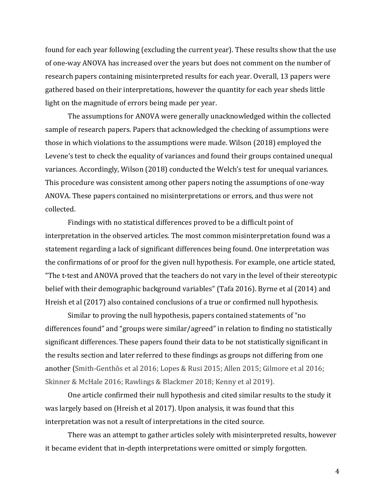found for each year following (excluding the current year). These results show that the use of one-way ANOVA has increased over the years but does not comment on the number of research papers containing misinterpreted results for each year. Overall, 13 papers were gathered based on their interpretations, however the quantity for each year sheds little light on the magnitude of errors being made per year.

The assumptions for ANOVA were generally unacknowledged within the collected sample of research papers. Papers that acknowledged the checking of assumptions were those in which violations to the assumptions were made. Wilson (2018) employed the Levene's test to check the equality of variances and found their groups contained unequal variances. Accordingly, Wilson (2018) conducted the Welch's test for unequal variances. This procedure was consistent among other papers noting the assumptions of one-way ANOVA. These papers contained no misinterpretations or errors, and thus were not collected.

Findings with no statistical differences proved to be a difficult point of interpretation in the observed articles. The most common misinterpretation found was a statement regarding a lack of significant differences being found. One interpretation was the confirmations of or proof for the given null hypothesis. For example, one article stated, "The t-test and ANOVA proved that the teachers do not vary in the level of their stereotypic belief with their demographic background variables" (Tafa 2016). Byrne et al (2014) and Hreish et al (2017) also contained conclusions of a true or confirmed null hypothesis.

Similar to proving the null hypothesis, papers contained statements of "no differences found" and "groups were similar/agreed" in relation to finding no statistically significant differences. These papers found their data to be not statistically significant in the results section and later referred to these findings as groups not differing from one another (Smith-Genthôs et al 2016; Lopes & Rusi 2015; Allen 2015; Gilmore et al 2016; Skinner & McHale 2016; Rawlings & Blackmer 2018; Kenny et al 2019).

One article confirmed their null hypothesis and cited similar results to the study it was largely based on (Hreish et al 2017). Upon analysis, it was found that this interpretation was not a result of interpretations in the cited source.

There was an attempt to gather articles solely with misinterpreted results, however it became evident that in-depth interpretations were omitted or simply forgotten.

4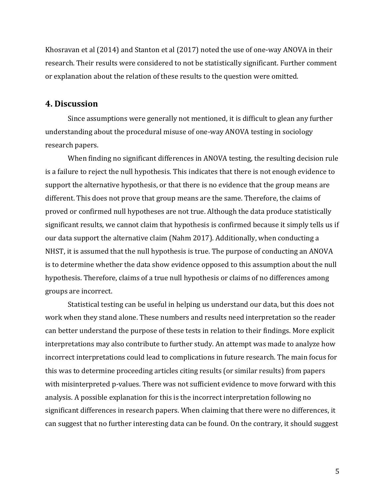Khosravan et al (2014) and Stanton et al (2017) noted the use of one-way ANOVA in their research. Their results were considered to not be statistically significant. Further comment or explanation about the relation of these results to the question were omitted.

#### **4. Discussion**

Since assumptions were generally not mentioned, it is difficult to glean any further understanding about the procedural misuse of one-way ANOVA testing in sociology research papers.

When finding no significant differences in ANOVA testing, the resulting decision rule is a failure to reject the null hypothesis. This indicates that there is not enough evidence to support the alternative hypothesis, or that there is no evidence that the group means are different. This does not prove that group means are the same. Therefore, the claims of proved or confirmed null hypotheses are not true. Although the data produce statistically significant results, we cannot claim that hypothesis is confirmed because it simply tells us if our data support the alternative claim (Nahm 2017). Additionally, when conducting a NHST, it is assumed that the null hypothesis is true. The purpose of conducting an ANOVA is to determine whether the data show evidence opposed to this assumption about the null hypothesis. Therefore, claims of a true null hypothesis or claims of no differences among groups are incorrect.

Statistical testing can be useful in helping us understand our data, but this does not work when they stand alone. These numbers and results need interpretation so the reader can better understand the purpose of these tests in relation to their findings. More explicit interpretations may also contribute to further study. An attempt was made to analyze how incorrect interpretations could lead to complications in future research. The main focus for this was to determine proceeding articles citing results (or similar results) from papers with misinterpreted p-values. There was not sufficient evidence to move forward with this analysis. A possible explanation for this is the incorrect interpretation following no significant differences in research papers. When claiming that there were no differences, it can suggest that no further interesting data can be found. On the contrary, it should suggest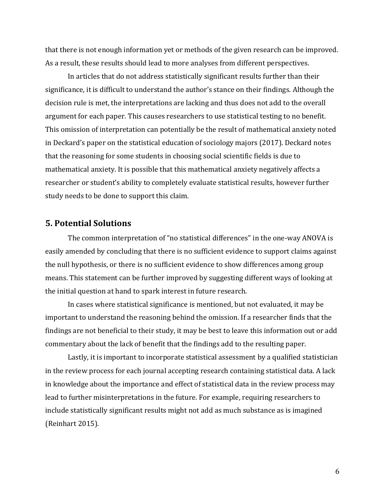that there is not enough information yet or methods of the given research can be improved. As a result, these results should lead to more analyses from different perspectives.

In articles that do not address statistically significant results further than their significance, it is difficult to understand the author's stance on their findings. Although the decision rule is met, the interpretations are lacking and thus does not add to the overall argument for each paper. This causes researchers to use statistical testing to no benefit. This omission of interpretation can potentially be the result of mathematical anxiety noted in Deckard's paper on the statistical education of sociology majors (2017). Deckard notes that the reasoning for some students in choosing social scientific fields is due to mathematical anxiety. It is possible that this mathematical anxiety negatively affects a researcher or student's ability to completely evaluate statistical results, however further study needs to be done to support this claim.

#### **5. Potential Solutions**

The common interpretation of "no statistical differences" in the one-way ANOVA is easily amended by concluding that there is no sufficient evidence to support claims against the null hypothesis, or there is no sufficient evidence to show differences among group means. This statement can be further improved by suggesting different ways of looking at the initial question at hand to spark interest in future research.

In cases where statistical significance is mentioned, but not evaluated, it may be important to understand the reasoning behind the omission. If a researcher finds that the findings are not beneficial to their study, it may be best to leave this information out or add commentary about the lack of benefit that the findings add to the resulting paper.

Lastly, it is important to incorporate statistical assessment by a qualified statistician in the review process for each journal accepting research containing statistical data. A lack in knowledge about the importance and effect of statistical data in the review process may lead to further misinterpretations in the future. For example, requiring researchers to include statistically significant results might not add as much substance as is imagined (Reinhart 2015).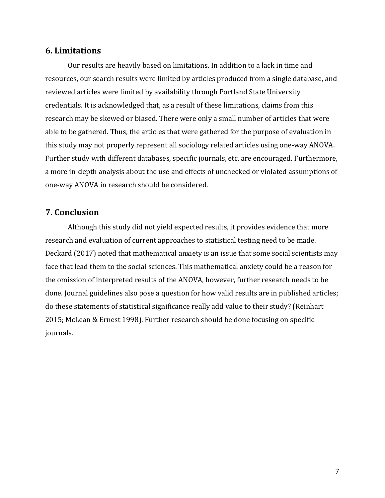#### **6. Limitations**

Our results are heavily based on limitations. In addition to a lack in time and resources, our search results were limited by articles produced from a single database, and reviewed articles were limited by availability through Portland State University credentials. It is acknowledged that, as a result of these limitations, claims from this research may be skewed or biased. There were only a small number of articles that were able to be gathered. Thus, the articles that were gathered for the purpose of evaluation in this study may not properly represent all sociology related articles using one-way ANOVA. Further study with different databases, specific journals, etc. are encouraged. Furthermore, a more in-depth analysis about the use and effects of unchecked or violated assumptions of one-way ANOVA in research should be considered.

## **7. Conclusion**

Although this study did not yield expected results, it provides evidence that more research and evaluation of current approaches to statistical testing need to be made. Deckard (2017) noted that mathematical anxiety is an issue that some social scientists may face that lead them to the social sciences. This mathematical anxiety could be a reason for the omission of interpreted results of the ANOVA, however, further research needs to be done. Journal guidelines also pose a question for how valid results are in published articles; do these statements of statistical significance really add value to their study? (Reinhart 2015; McLean & Ernest 1998). Further research should be done focusing on specific journals.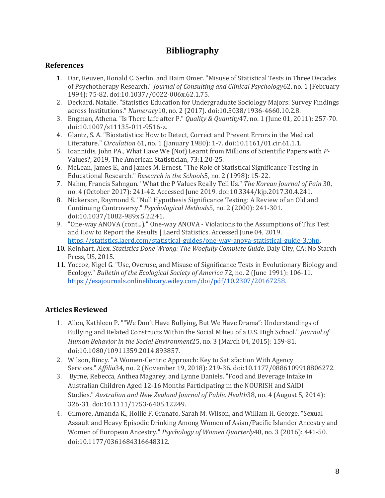# **Bibliography**

#### **References**

- 1. Dar, Reuven, Ronald C. Serlin, and Haim Omer. "Misuse of Statistical Tests in Three Decades of Psychotherapy Research." *Journal of Consulting and Clinical Psychology*62, no. 1 (February 1994): 75-82. doi:10.1037//0022-006x.62.1.75.
- 2. Deckard, Natalie. "Statistics Education for Undergraduate Sociology Majors: Survey Findings across Institutions." *Numeracy*10, no. 2 (2017). doi:10.5038/1936-4660.10.2.8.
- 3. Engman, Athena. "Is There Life after P." *Quality & Quantity*47, no. 1 (June 01, 2011): 257-70. doi:10.1007/s11135-011-9516-z.
- 4. Glantz, S. A. "Biostatistics: How to Detect, Correct and Prevent Errors in the Medical Literature." *Circulation* 61, no. 1 (January 1980): 1-7. doi:10.1161/01.cir.61.1.1.
- 5. Ioannidis, John PA., What Have We (Not) Learnt from Millions of Scientific Papers with *P-*Values?, 2019, The American Statistician, 73:1,20-25.
- 6. McLean, James E., and James M. Ernest. "The Role of Statistical Significance Testing In Educational Research." *Research in the Schools*5, no. 2 (1998): 15-22.
- 7. Nahm, Francis Sahngun. "What the P Values Really Tell Us." *The Korean Journal of Pain* 30, no. 4 (October 2017): 241-42. Accessed June 2019. doi:10.3344/kjp.2017.30.4.241.
- 8. Nickerson, Raymond S. "Null Hypothesis Significance Testing: A Review of an Old and Continuing Controversy." *Psychological Methods*5, no. 2 (2000): 241-301. doi:10.1037/1082-989x.5.2.241.
- 9. "One-way ANOVA (cont...)." One-way ANOVA Violations to the Assumptions of This Test and How to Report the Results | Laerd Statistics. Accessed June 04, 2019. [https://statistics.laerd.com/statistical-guides/one-way-anova-statistical-guide-3.php.](https://statistics.laerd.com/statistical-guides/one-way-anova-statistical-guide-3.php)
- 10. Reinhart, Alex. *Statistics Done Wrong: The Woefully Complete Guide*. Daly City, CA: No Starch Press, US, 2015.
- 11. Yoccoz, Nigel G. "Use, Overuse, and Misuse of Significance Tests in Evolutionary Biology and Ecology." *Bulletin of the Ecological Society of America* 72, no. 2 (June 1991): 106-11. [https://esajournals.onlinelibrary.wiley.com/doi/pdf/10.2307/20167258.](https://esajournals.onlinelibrary.wiley.com/doi/pdf/10.2307/20167258)

## **Articles Reviewed**

- 1. Allen, Kathleen P. ""We Don't Have Bullying, But We Have Drama": Understandings of Bullying and Related Constructs Within the Social Milieu of a U.S. High School." *Journal of Human Behavior in the Social Environment*25, no. 3 (March 04, 2015): 159-81. doi:10.1080/10911359.2014.893857.
- 2. Wilson, Bincy. "A Women-Centric Approach: Key to Satisfaction With Agency Services." *Affilia*34, no. 2 (November 19, 2018): 219-36. doi:10.1177/0886109918806272.
- 3. Byrne, Rebecca, Anthea Magarey, and Lynne Daniels. "Food and Beverage Intake in Australian Children Aged 12-16 Months Participating in the NOURISH and SAIDI Studies." *Australian and New Zealand Journal of Public Health*38, no. 4 (August 5, 2014): 326-31. doi:10.1111/1753-6405.12249.
- 4. Gilmore, Amanda K., Hollie F. Granato, Sarah M. Wilson, and William H. George. "Sexual Assault and Heavy Episodic Drinking Among Women of Asian/Pacific Islander Ancestry and Women of European Ancestry." *Psychology of Women Quarterly*40, no. 3 (2016): 441-50. doi:10.1177/0361684316648312.